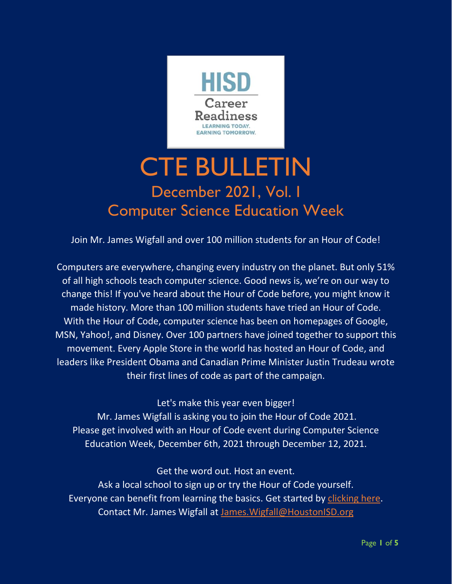

# CTE BULLETIN December 2021, Vol. I Computer Science Education Week

Join Mr. James Wigfall and over 100 million students for an Hour of Code!

Computers are everywhere, changing every industry on the planet. But only 51% of all high schools teach computer science. Good news is, we're on our way to change this! If you've heard about the Hour of Code before, you might know it made history. More than 100 million students have tried an Hour of Code. With the Hour of Code, computer science has been on homepages of Google, MSN, Yahoo!, and Disney. Over 100 partners have joined together to support this movement. Every Apple Store in the world has hosted an Hour of Code, and leaders like President Obama and Canadian Prime Minister Justin Trudeau wrote their first lines of code as part of the campaign.

Let's make this year even bigger! Mr. James Wigfall is asking you to join the Hour of Code 2021. Please get involved with an Hour of Code event during Computer Science

Education Week, December 6th, 2021 through December 12, 2021.

Get the word out. Host an event. Ask a local school to sign up or try the Hour of Code yourself. Everyone can benefit from learning the basics. Get started by [clicking here.](https://www.houstonisd.org/domain/53040) Contact Mr. James Wigfall at [James.Wigfall@HoustonISD.org](mailto:James.Wigfall@HoustonISD.org)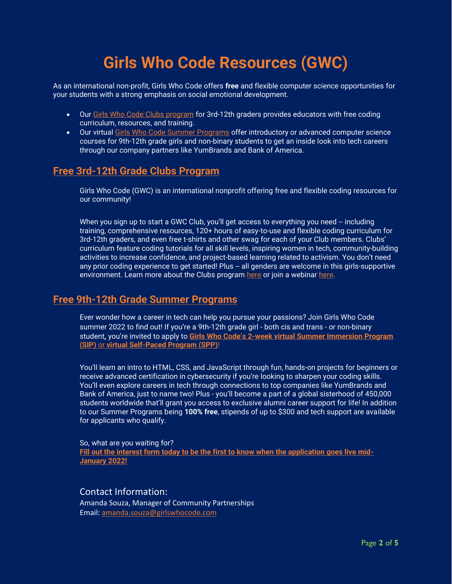## **Girls Who Code Resources (GWC)**

As an international non-profit, Girls Who Code offers **free** and flexible computer science opportunities for your students with a strong emphasis on social emotional development.

- Our [Girls Who Code Clubs program](https://nam10.safelinks.protection.outlook.com/?url=https%3A%2F%2Ft.yesware.com%2Ftt%2F42966344c603e47252fa3d50902c41380d1644d3%2F11ccf9c2f0a0f1812b0604827d653f5a%2F7ceb11a850d174bda1fd49c1e43fc3ab%2Fgirlswhocode.com%2Fwebsite%2Fuploads%2FGWC_Clubs_Flyers_General_z2-min.pdf&data=04%7C01%7Cjennifer.bullock%40tea.texas.gov%7C1611366238ca4ef8b8bb08d9aa9a4dd7%7C65d6b3c3723648189613248dbd713a6f%7C0%7C0%7C637728404509734075%7CUnknown%7CTWFpbGZsb3d8eyJWIjoiMC4wLjAwMDAiLCJQIjoiV2luMzIiLCJBTiI6Ik1haWwiLCJXVCI6Mn0%3D%7C3000&sdata=nQjeOoaz88Pj4MhVV5cu9Hmhr2CHtFWg7iEQmKuiau8%3D&reserved=0) for 3rd-12th graders provides educators with free coding curriculum, resources, and training.
- Our virtual [Girls Who Code Summer Programs](https://nam10.safelinks.protection.outlook.com/?url=https%3A%2F%2Ft.yesware.com%2Ftt%2F42966344c603e47252fa3d50902c41380d1644d3%2F11ccf9c2f0a0f1812b0604827d653f5a%2F8cbb6237968304a21a74627ba8343ef3%2Fgirlswhocode.com%2Fprograms%2Fsummer-immersion-program&data=04%7C01%7Cjennifer.bullock%40tea.texas.gov%7C1611366238ca4ef8b8bb08d9aa9a4dd7%7C65d6b3c3723648189613248dbd713a6f%7C0%7C0%7C637728404509744033%7CUnknown%7CTWFpbGZsb3d8eyJWIjoiMC4wLjAwMDAiLCJQIjoiV2luMzIiLCJBTiI6Ik1haWwiLCJXVCI6Mn0%3D%7C3000&sdata=N3ZV%2FdRtVwjZmzZfnV8hxY7ufOV5fuBvRNlpIvIVluA%3D&reserved=0) offer introductory or advanced computer science courses for 9th-12th grade girls and non-binary students to get an inside look into tech careers through our company partners like YumBrands and Bank of America.

#### **Free 3rd-12th Grade Clubs Program**

Girls Who Code (GWC) is an international nonprofit offering free and flexible coding resources for our community!

When you sign up to start a GWC Club, you'll get access to everything you need -- including training, comprehensive resources, 120+ hours of easy-to-use and flexible coding curriculum for 3rd-12th graders, and even free t-shirts and other swag for each of your Club members. Clubs' curriculum feature coding tutorials for all skill levels, inspiring women in tech, community-building activities to increase confidence, and project-based learning related to activism. You don't need any prior coding experience to get started! Plus -- all genders are welcome in this girls-supportive environment. Learn more about the Clubs program [here](https://nam10.safelinks.protection.outlook.com/?url=https%3A%2F%2Ft.yesware.com%2Ftt%2F42966344c603e47252fa3d50902c41380d1644d3%2F11ccf9c2f0a0f1812b0604827d653f5a%2F7ceb11a850d174bda1fd49c1e43fc3ab%2Fgirlswhocode.com%2Fwebsite%2Fuploads%2FGWC_Clubs_Flyers_General_z2-min.pdf&data=04%7C01%7Cjennifer.bullock%40tea.texas.gov%7C1611366238ca4ef8b8bb08d9aa9a4dd7%7C65d6b3c3723648189613248dbd713a6f%7C0%7C0%7C637728404509744033%7CUnknown%7CTWFpbGZsb3d8eyJWIjoiMC4wLjAwMDAiLCJQIjoiV2luMzIiLCJBTiI6Ik1haWwiLCJXVCI6Mn0%3D%7C3000&sdata=%2Fs0Ox7L9FIAxXl85IbzwogkYI05A5y%2BciV0H8VmPTfY%3D&reserved=0) or join a webinar [here.](https://nam10.safelinks.protection.outlook.com/?url=https%3A%2F%2Ft.yesware.com%2Ftt%2F42966344c603e47252fa3d50902c41380d1644d3%2F11ccf9c2f0a0f1812b0604827d653f5a%2F3ad986182dacd09efae455d6efd4ffdc%2Fmailchi.mp%2F2b5b35a48013%2Fusclubsandsip&data=04%7C01%7Cjennifer.bullock%40tea.texas.gov%7C1611366238ca4ef8b8bb08d9aa9a4dd7%7C65d6b3c3723648189613248dbd713a6f%7C0%7C0%7C637728404509753994%7CUnknown%7CTWFpbGZsb3d8eyJWIjoiMC4wLjAwMDAiLCJQIjoiV2luMzIiLCJBTiI6Ik1haWwiLCJXVCI6Mn0%3D%7C3000&sdata=J8BCP9WQNhP%2BGa5zL1pBmHC5ykHr0GdHc7boEE4ruDM%3D&reserved=0)

#### **Free 9th-12th Grade Summer Programs**

Ever wonder how a career in tech can help you pursue your passions? Join Girls Who Code summer 2022 to find out! If you're a 9th-12th grade girl - both cis and trans - or non-binary student**,** you're invited to apply to **Girls Who Code's 2[-week virtual Summer Immersion Program](https://nam10.safelinks.protection.outlook.com/?url=https%3A%2F%2Ft.yesware.com%2Ftt%2F42966344c603e47252fa3d50902c41380d1644d3%2F11ccf9c2f0a0f1812b0604827d653f5a%2F8cbb6237968304a21a74627ba8343ef3%2Fgirlswhocode.com%2Fprograms%2Fsummer-immersion-program&data=04%7C01%7Cjennifer.bullock%40tea.texas.gov%7C1611366238ca4ef8b8bb08d9aa9a4dd7%7C65d6b3c3723648189613248dbd713a6f%7C0%7C0%7C637728404509763946%7CUnknown%7CTWFpbGZsb3d8eyJWIjoiMC4wLjAwMDAiLCJQIjoiV2luMzIiLCJBTiI6Ik1haWwiLCJXVCI6Mn0%3D%7C3000&sdata=ravZYNvvThEYLymMeI26VS326fx1l4jqO5Ywq%2Bz%2FlU4%3D&reserved=0)  (SIP)** or **[virtual Self-Paced Program \(SPP\)](https://nam10.safelinks.protection.outlook.com/?url=https%3A%2F%2Ft.yesware.com%2Ftt%2F42966344c603e47252fa3d50902c41380d1644d3%2F11ccf9c2f0a0f1812b0604827d653f5a%2F8cbb6237968304a21a74627ba8343ef3%2Fgirlswhocode.com%2Fprograms%2Fsummer-immersion-program&data=04%7C01%7Cjennifer.bullock%40tea.texas.gov%7C1611366238ca4ef8b8bb08d9aa9a4dd7%7C65d6b3c3723648189613248dbd713a6f%7C0%7C0%7C637728404509763946%7CUnknown%7CTWFpbGZsb3d8eyJWIjoiMC4wLjAwMDAiLCJQIjoiV2luMzIiLCJBTiI6Ik1haWwiLCJXVCI6Mn0%3D%7C3000&sdata=ravZYNvvThEYLymMeI26VS326fx1l4jqO5Ywq%2Bz%2FlU4%3D&reserved=0)**!

You'll learn an intro to HTML, CSS, and JavaScript through fun, hands-on projects for beginners or receive advanced certification in cybersecurity if you're looking to sharpen your coding skills. You'll even explore careers in tech through connections to top companies like YumBrands and Bank of America, just to name two! Plus - you'll become a part of a global sisterhood of 450,000 students worldwide that'll grant you access to exclusive alumni career support for life! In addition to our Summer Programs being **100% free**, stipends of up to \$300 and tech support are available for applicants who qualify.

So, what are you waiting for? **[Fill out the interest form today to be the first to know when the application goes live mid-](https://nam10.safelinks.protection.outlook.com/?url=http%3A%2F%2Ft.yesware.com%2Ftt%2F42966344c603e47252fa3d50902c41380d1644d3%2F11ccf9c2f0a0f1812b0604827d653f5a%2F5ccf6e1a993a5828d5e7573ae694b042%2Fgirlswhocode.com%2Fsipapply&data=04%7C01%7Cjennifer.bullock%40tea.texas.gov%7C1611366238ca4ef8b8bb08d9aa9a4dd7%7C65d6b3c3723648189613248dbd713a6f%7C0%7C0%7C637728404509763946%7CUnknown%7CTWFpbGZsb3d8eyJWIjoiMC4wLjAwMDAiLCJQIjoiV2luMzIiLCJBTiI6Ik1haWwiLCJXVCI6Mn0%3D%7C3000&sdata=PTBZu%2BkEor8eqD%2FKQrrzK6ciOYANG33YH43q%2BtjdxU4%3D&reserved=0)[January 2022!](https://nam10.safelinks.protection.outlook.com/?url=http%3A%2F%2Ft.yesware.com%2Ftt%2F42966344c603e47252fa3d50902c41380d1644d3%2F11ccf9c2f0a0f1812b0604827d653f5a%2F5ccf6e1a993a5828d5e7573ae694b042%2Fgirlswhocode.com%2Fsipapply&data=04%7C01%7Cjennifer.bullock%40tea.texas.gov%7C1611366238ca4ef8b8bb08d9aa9a4dd7%7C65d6b3c3723648189613248dbd713a6f%7C0%7C0%7C637728404509763946%7CUnknown%7CTWFpbGZsb3d8eyJWIjoiMC4wLjAwMDAiLCJQIjoiV2luMzIiLCJBTiI6Ik1haWwiLCJXVCI6Mn0%3D%7C3000&sdata=PTBZu%2BkEor8eqD%2FKQrrzK6ciOYANG33YH43q%2BtjdxU4%3D&reserved=0)**

#### Contact Information:

Amanda Souza, Manager of Community Partnerships Email: [amanda.souza@girlswhocode.com](mailto:amanda.souza@girlswhocode.com)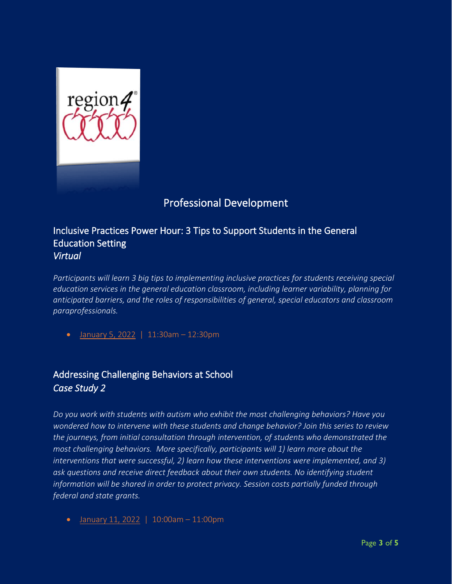

## Professional Development

#### Inclusive Practices Power Hour: 3 Tips to Support Students in the General Education Setting *Virtual*

*Participants will learn 3 big tips to implementing inclusive practices for students receiving special education services in the general education classroom, including learner variability, planning for anticipated barriers, and the roles of responsibilities of general, special educators and classroom paraprofessionals.*

• [January 5, 2022](https://www.escweb.net/tx_esc_04/catalog/session.aspx?session_id=1631671) | 11:30am – 12:30pm

### Addressing Challenging Behaviors at School *Case Study 2*

*Do you work with students with autism who exhibit the most challenging behaviors? Have you wondered how to intervene with these students and change behavior? Join this series to review the journeys, from initial consultation through intervention, of students who demonstrated the most challenging behaviors. More specifically, participants will 1) learn more about the interventions that were successful, 2) learn how these interventions were implemented, and 3) ask questions and receive direct feedback about their own students. No identifying student information will be shared in order to protect privacy. Session costs partially funded through federal and state grants.*

• [January 11, 2022](https://www.escweb.net/tx_esc_04/catalog/session.aspx?session_id=1611316) | 10:00am – 11:00pm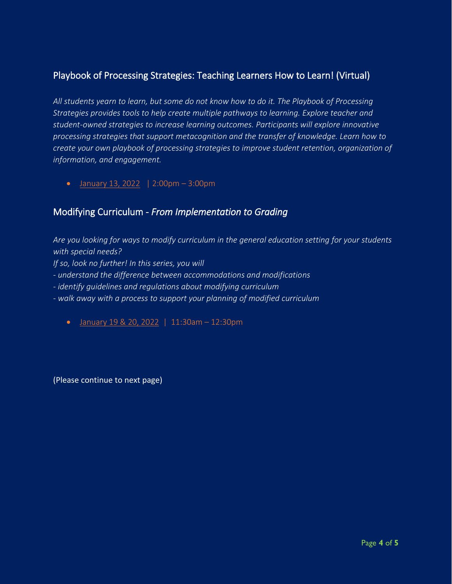#### Playbook of Processing Strategies: Teaching Learners How to Learn! (Virtual)

*All students yearn to learn, but some do not know how to do it. The Playbook of Processing Strategies provides tools to help create multiple pathways to learning. Explore teacher and student-owned strategies to increase learning outcomes. Participants will explore innovative processing strategies that support metacognition and the transfer of knowledge. Learn how to create your own playbook of processing strategies to improve student retention, organization of information, and engagement.*

• [January 13, 2022](https://www.escweb.net/tx_esc_04/catalog/session.aspx?session_id=1630528) | 2:00pm  $-3:00$ pm

#### Modifying Curriculum - *From Implementation to Grading*

*Are you looking for ways to modify curriculum in the general education setting for your students with special needs? If so, look no further! In this series, you will - understand the difference between accommodations and modifications - identify guidelines and regulations about modifying curriculum - walk away with a process to support your planning of modified curriculum* • [January 19 & 20, 2022](https://www.escweb.net/tx_esc_04/catalog/session.aspx?session_id=1648740) | 11:30am - 12:30pm

(Please continue to next page)